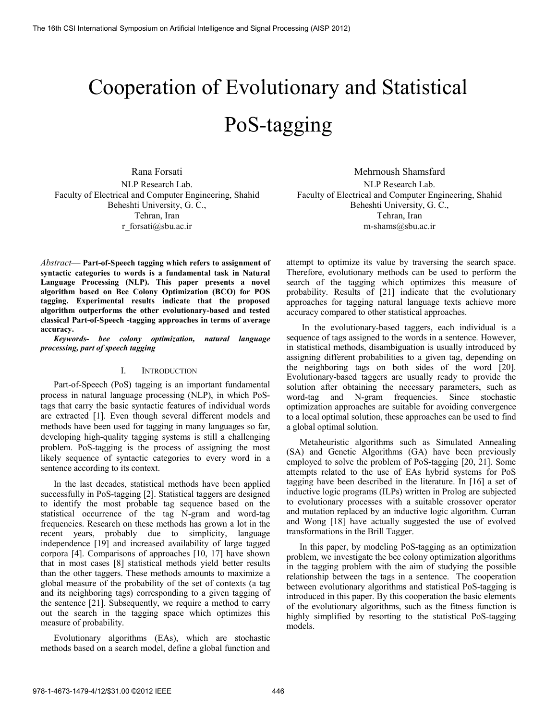# Cooperation of Evolutionary and Statistical PoS-tagging

Rana Forsati NLP Research Lab. Faculty of Electrical and Computer Engineering, Shahid Beheshti University, G. C., Tehran, Iran r\_forsati@sbu.ac.ir

*Abstract*— **Part-of-Speech tagging which refers to assignment of syntactic categories to words is a fundamental task in Natural Language Processing (NLP). This paper presents a novel algorithm based on Bee Colony Optimization (BCO) for POS tagging. Experimental results indicate that the proposed algorithm outperforms the other evolutionary-based and tested classical Part-of-Speech -tagging approaches in terms of average accuracy.** 

*Keywords- bee colony optimization, natural language processing, part of speech tagging* 

## I. INTRODUCTION

Part-of-Speech (PoS) tagging is an important fundamental process in natural language processing (NLP), in which PoStags that carry the basic syntactic features of individual words are extracted [1]. Even though several different models and methods have been used for tagging in many languages so far, developing high-quality tagging systems is still a challenging problem. PoS-tagging is the process of assigning the most likely sequence of syntactic categories to every word in a sentence according to its context.

In the last decades, statistical methods have been applied successfully in PoS-tagging [2]. Statistical taggers are designed to identify the most probable tag sequence based on the statistical occurrence of the tag N-gram and word-tag frequencies. Research on these methods has grown a lot in the recent years, probably due to simplicity, language independence [19] and increased availability of large tagged corpora [4]. Comparisons of approaches [10, 17] have shown that in most cases [8] statistical methods yield better results than the other taggers. These methods amounts to maximize a global measure of the probability of the set of contexts (a tag and its neighboring tags) corresponding to a given tagging of the sentence [21]. Subsequently, we require a method to carry out the search in the tagging space which optimizes this measure of probability.

Evolutionary algorithms (EAs), which are stochastic methods based on a search model, define a global function and

Mehrnoush Shamsfard NLP Research Lab. Faculty of Electrical and Computer Engineering, Shahid Beheshti University, G. C., Tehran, Iran m-shams@sbu.ac.ir

attempt to optimize its value by traversing the search space. Therefore, evolutionary methods can be used to perform the search of the tagging which optimizes this measure of probability. Results of [21] indicate that the evolutionary approaches for tagging natural language texts achieve more accuracy compared to other statistical approaches.

 In the evolutionary-based taggers, each individual is a sequence of tags assigned to the words in a sentence. However, in statistical methods, disambiguation is usually introduced by assigning different probabilities to a given tag, depending on the neighboring tags on both sides of the word [20]. Evolutionary-based taggers are usually ready to provide the solution after obtaining the necessary parameters, such as word-tag and N-gram frequencies. Since stochastic optimization approaches are suitable for avoiding convergence to a local optimal solution, these approaches can be used to find a global optimal solution.

Metaheuristic algorithms such as Simulated Annealing (SA) and Genetic Algorithms (GA) have been previously employed to solve the problem of PoS-tagging [20, 21]. Some attempts related to the use of EAs hybrid systems for PoS tagging have been described in the literature. In [16] a set of inductive logic programs (ILPs) written in Prolog are subjected to evolutionary processes with a suitable crossover operator and mutation replaced by an inductive logic algorithm. Curran and Wong [18] have actually suggested the use of evolved transformations in the Brill Tagger.

In this paper, by modeling PoS-tagging as an optimization problem, we investigate the bee colony optimization algorithms in the tagging problem with the aim of studying the possible relationship between the tags in a sentence. The cooperation between evolutionary algorithms and statistical PoS-tagging is introduced in this paper. By this cooperation the basic elements of the evolutionary algorithms, such as the fitness function is highly simplified by resorting to the statistical PoS-tagging models.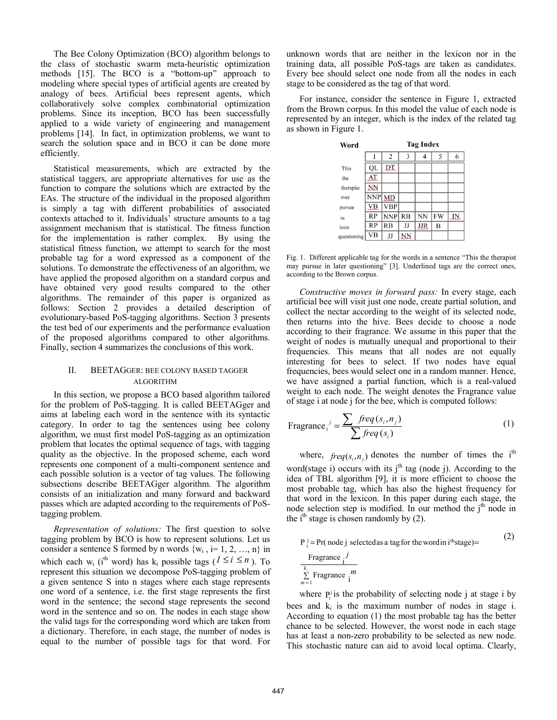The Bee Colony Optimization (BCO) algorithm belongs to the class of stochastic swarm meta-heuristic optimization methods [15]. The BCO is a "bottom-up" approach to modeling where special types of artificial agents are created by analogy of bees. Artificial bees represent agents, which collaboratively solve complex combinatorial optimization problems. Since its inception, BCO has been successfully applied to a wide variety of engineering and management problems [14]. In fact, in optimization problems, we want to search the solution space and in BCO it can be done more efficiently.

Statistical measurements, which are extracted by the statistical taggers, are appropriate alternatives for use as the function to compare the solutions which are extracted by the EAs. The structure of the individual in the proposed algorithm is simply a tag with different probabilities of associated contexts attached to it. Individuals' structure amounts to a tag assignment mechanism that is statistical. The fitness function for the implementation is rather complex. By using the statistical fitness function, we attempt to search for the most probable tag for a word expressed as a component of the solutions. To demonstrate the effectiveness of an algorithm, we have applied the proposed algorithm on a standard corpus and have obtained very good results compared to the other algorithms. The remainder of this paper is organized as follows: Section 2 provides a detailed description of evolutionary-based PoS-tagging algorithms. Section 3 presents the test bed of our experiments and the performance evaluation of the proposed algorithms compared to other algorithms. Finally, section 4 summarizes the conclusions of this work.

## II. BEETAGGER: BEE COLONY BASED TAGGER ALGORITHM

In this section, we propose a BCO based algorithm tailored for the problem of PoS-tagging. It is called BEETAGger and aims at labeling each word in the sentence with its syntactic category. In order to tag the sentences using bee colony algorithm, we must first model PoS-tagging as an optimization problem that locates the optimal sequence of tags, with tagging quality as the objective. In the proposed scheme, each word represents one component of a multi-component sentence and each possible solution is a vector of tag values. The following subsections describe BEETAGger algorithm. The algorithm consists of an initialization and many forward and backward passes which are adapted according to the requirements of PoStagging problem.

*Representation of solutions:* The first question to solve tagging problem by BCO is how to represent solutions. Let us consider a sentence S formed by n words  $\{w_i, i=1, 2, ..., n\}$  in which each w<sub>i</sub> (i<sup>th</sup> word) has k<sub>i</sub> possible tags ( $1 \le i \le n$ ). To represent this situation we decompose PoS-tagging problem of a given sentence S into n stages where each stage represents one word of a sentence, i.e. the first stage represents the first word in the sentence; the second stage represents the second word in the sentence and so on. The nodes in each stage show the valid tags for the corresponding word which are taken from a dictionary. Therefore, in each stage, the number of nodes is equal to the number of possible tags for that word. For

unknown words that are neither in the lexicon nor in the training data, all possible PoS-tags are taken as candidates. Every bee should select one node from all the nodes in each stage to be considered as the tag of that word.

For instance, consider the sentence in Figure 1, extracted from the Brown corpus. In this model the value of each node is represented by an integer, which is the index of the related tag as shown in Figure 1.

| Word        | <b>Tag Index</b> |                |             |            |    |    |
|-------------|------------------|----------------|-------------|------------|----|----|
|             |                  | $\overline{2}$ | 3           | 4          | 5  | 6  |
| This        | QL               | DT.            |             |            |    |    |
| the         | AT               |                |             |            |    |    |
| therapist   | NN               |                |             |            |    |    |
| may         | NNP              | MD             |             |            |    |    |
| pursue      | VВ               | VBP            |             |            |    |    |
| in          | RP               | <b>NNP</b>     | <b>RB</b>   | NN         | FW | IN |
| later       | RP               | RB             | JJ          | <b>JJR</b> | B  |    |
| questioning | VВ               | JJ             | $_{\rm NN}$ |            |    |    |

Fig. 1. Different applicable tag for the words in a sentence "This the therapist may pursue in later questioning" [3]. Underlined tags are the correct ones, according to the Brown corpus.

*Constructive moves in forward pass:* In every stage, each artificial bee will visit just one node, create partial solution, and collect the nectar according to the weight of its selected node, then returns into the hive. Bees decide to choose a node according to their fragrance. We assume in this paper that the weight of nodes is mutually unequal and proportional to their frequencies. This means that all nodes are not equally interesting for bees to select. If two nodes have equal frequencies, bees would select one in a random manner. Hence, we have assigned a partial function, which is a real-valued weight to each node. The weight denotes the Fragrance value of stage i at node j for the bee, which is computed follows:

$$
\text{Fragrance}_{i}^{j} = \frac{\sum freq(s_{i}, n_{j})}{\sum freq(s_{i})}
$$
\n(1)

where,  $freq(s_i, n_j)$  denotes the number of times the i<sup>th</sup> word(stage i) occurs with its  $j<sup>th</sup>$  tag (node j). According to the idea of TBL algorithm [9], it is more efficient to choose the most probable tag, which has also the highest frequency for that word in the lexicon. In this paper during each stage, the node selection step is modified. In our method the  $j<sup>th</sup>$  node in the  $i<sup>th</sup>$  stage is chosen randomly by (2).

$$
P_i^j = Pr(\text{node } j \text{ selected as a tag for the word in } i^{th} \text{stage}) =
$$
\n
$$
\frac{\text{Fragrance } i}{\sum_{m=1}^{k_i} \text{Fragrance } i^m}
$$
\n(2)

where  $P_i^j$  is the probability of selecting node j at stage i by bees and  $k_i$  is the maximum number of nodes in stage i. According to equation (1) the most probable tag has the better chance to be selected. However, the worst node in each stage has at least a non-zero probability to be selected as new node. This stochastic nature can aid to avoid local optima. Clearly,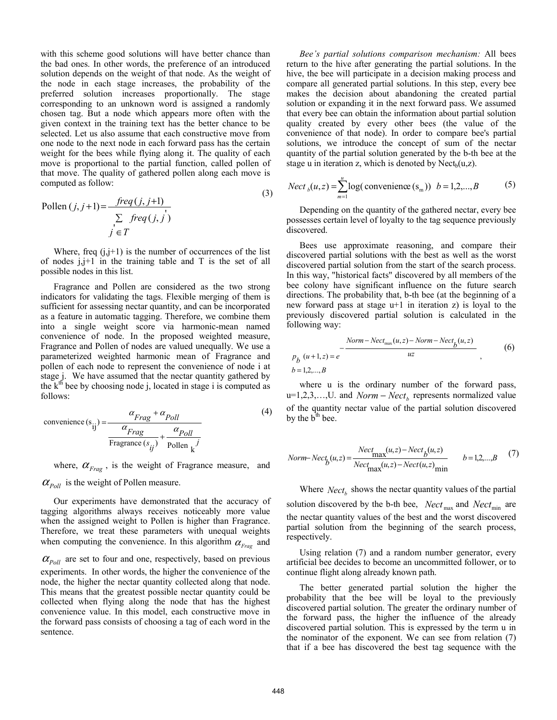with this scheme good solutions will have better chance than the bad ones. In other words, the preference of an introduced solution depends on the weight of that node. As the weight of the node in each stage increases, the probability of the preferred solution increases proportionally. The stage corresponding to an unknown word is assigned a randomly chosen tag. But a node which appears more often with the given context in the training text has the better chance to be selected. Let us also assume that each constructive move from one node to the next node in each forward pass has the certain weight for the bees while flying along it. The quality of each move is proportional to the partial function, called pollen of that move. The quality of gathered pollen along each move is computed as follow:

$$
Pollen (j, j+1) = \frac{freq(j, j+1)}{\sum_{j \in T} freq(j, j)}
$$
\n(3)

Where, freq  $(i, j+1)$  is the number of occurrences of the list of nodes  $i, j+1$  in the training table and T is the set of all possible nodes in this list.

Fragrance and Pollen are considered as the two strong indicators for validating the tags. Flexible merging of them is sufficient for assessing nectar quantity, and can be incorporated as a feature in automatic tagging. Therefore, we combine them into a single weight score via harmonic-mean named convenience of node. In the proposed weighted measure, Fragrance and Pollen of nodes are valued unequally. We use a parameterized weighted harmonic mean of Fragrance and pollen of each node to represent the convenience of node i at stage j. We have assumed that the nectar quantity gathered by the  $k<sup>th</sup>$  bee by choosing node j, located in stage i is computed as follows:

convenience (s<sub>ij</sub>) = 
$$
\frac{\alpha_{Frag} + \alpha_{Poll}}{\frac{\alpha_{Frag}}{\text{Fragrance}(s_{ij})} + \frac{\alpha_{Poll}}{\text{Pollen } k}} \tag{4}
$$

where,  $\alpha_{Frae}$ , is the weight of Fragrance measure, and

 $\alpha_{\text{Poll}}$  is the weight of Pollen measure.

Our experiments have demonstrated that the accuracy of tagging algorithms always receives noticeably more value when the assigned weight to Pollen is higher than Fragrance. Therefore, we treat these parameters with unequal weights when computing the convenience. In this algorithm  $\alpha_{FraP}$  and

 $\alpha_{Poll}$  are set to four and one, respectively, based on previous experiments. In other words, the higher the convenience of the node, the higher the nectar quantity collected along that node. This means that the greatest possible nectar quantity could be collected when flying along the node that has the highest convenience value. In this model, each constructive move in the forward pass consists of choosing a tag of each word in the sentence.

*Bee's partial solutions comparison mechanism:* All bees return to the hive after generating the partial solutions. In the hive, the bee will participate in a decision making process and compare all generated partial solutions. In this step, every bee makes the decision about abandoning the created partial solution or expanding it in the next forward pass. We assumed that every bee can obtain the information about partial solution quality created by every other bees (the value of the convenience of that node). In order to compare bee's partial solutions, we introduce the concept of sum of the nectar quantity of the partial solution generated by the b-th bee at the stage u in iteration z, which is denoted by  $Nect_b(u,z)$ .

*Next* <sub>b</sub>(u, z) = 
$$
\sum_{m=1}^{u} \log(\text{convenient}(s_m))
$$
  $b = 1, 2, ..., B$  (5)

Depending on the quantity of the gathered nectar, every bee possesses certain level of loyalty to the tag sequence previously discovered.

Bees use approximate reasoning, and compare their discovered partial solutions with the best as well as the worst discovered partial solution from the start of the search process. In this way, "historical facts" discovered by all members of the bee colony have significant influence on the future search directions. The probability that, b-th bee (at the beginning of a new forward pass at stage u+1 in iteration z) is loyal to the previously discovered partial solution is calculated in the following way:

$$
p_b (u+1, z) = e^{-\frac{Norm - Nect_{\text{max}}(u, z) - Norm - Nect_b(u, z)}{uz}},
$$
\n(6)

where u is the ordinary number of the forward pass,  $u=1,2,3,...,U$ . and *Norm* – *Nect<sub>b</sub>* represents normalized value of the quantity nectar value of the partial solution discovered by the  $b<sup>th</sup>$  bee.

$$
Norm-{\text{Nect}}_{b}(u,z) = \frac{{\text{Nect}}_{\text{max}}(u,z) - {\text{Nect}}_{b}(u,z)}{{\text{Nect}}_{\text{max}}(u,z) - {\text{Nect}}(u,z)_{\text{min}}} \qquad b = 1,2,...,B \qquad (7)
$$

Where  $Nect_b$  shows the nectar quantity values of the partial

solution discovered by the b-th bee, *Nect*<sub>max</sub> and *Nect*<sub>min</sub> are the nectar quantity values of the best and the worst discovered partial solution from the beginning of the search process, respectively.

Using relation (7) and a random number generator, every artificial bee decides to become an uncommitted follower, or to continue flight along already known path.

The better generated partial solution the higher the probability that the bee will be loyal to the previously discovered partial solution. The greater the ordinary number of the forward pass, the higher the influence of the already discovered partial solution. This is expressed by the term u in the nominator of the exponent. We can see from relation (7) that if a bee has discovered the best tag sequence with the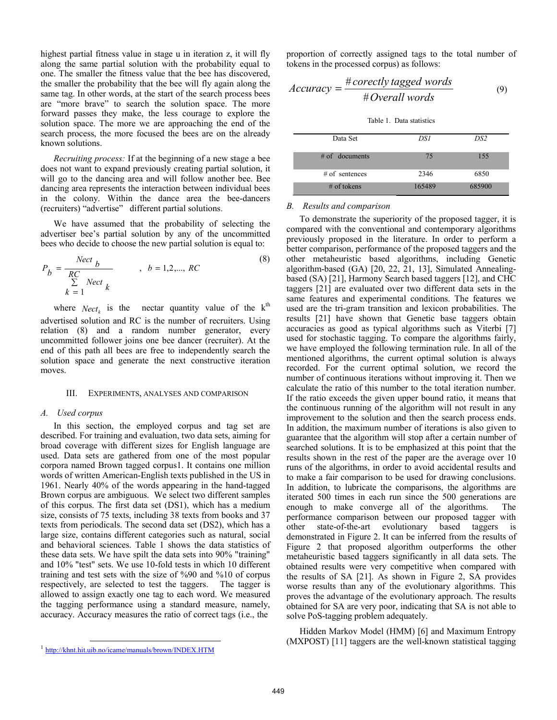highest partial fitness value in stage u in iteration z, it will fly along the same partial solution with the probability equal to one. The smaller the fitness value that the bee has discovered, the smaller the probability that the bee will fly again along the same tag. In other words, at the start of the search process bees are "more brave" to search the solution space. The more forward passes they make, the less courage to explore the solution space. The more we are approaching the end of the search process, the more focused the bees are on the already known solutions.

*Recruiting process:* If at the beginning of a new stage a bee does not want to expand previously creating partial solution, it will go to the dancing area and will follow another bee. Bee dancing area represents the interaction between individual bees in the colony. Within the dance area the bee-dancers (recruiters) "advertise" different partial solutions.

We have assumed that the probability of selecting the advertiser bee's partial solution by any of the uncommitted bees who decide to choose the new partial solution is equal to:

$$
P_b = \frac{Nect \ b}{\sum\limits_{k=1}^{RC} Nect \ k}, \quad b = 1, 2, \dots, RC
$$
 (8)

where  $Nect_{k}$  is the nectar quantity value of the k<sup>th</sup> advertised solution and RC is the number of recruiters. Using relation (8) and a random number generator, every uncommitted follower joins one bee dancer (recruiter). At the end of this path all bees are free to independently search the solution space and generate the next constructive iteration moves.

### III. EXPERIMENTS, ANALYSES AND COMPARISON

#### *A. Used corpus*

In this section, the employed corpus and tag set are described. For training and evaluation, two data sets, aiming for broad coverage with different sizes for English language are used. Data sets are gathered from one of the most popular corpora named Brown tagged corpus1. It contains one million words of written American-English texts published in the US in 1961. Nearly 40% of the words appearing in the hand-tagged Brown corpus are ambiguous. We select two different samples of this corpus. The first data set (DS1), which has a medium size, consists of 75 texts, including 38 texts from books and 37 texts from periodicals. The second data set (DS2), which has a large size, contains different categories such as natural, social and behavioral sciences. Table 1 shows the data statistics of these data sets. We have spilt the data sets into 90% "training" and 10% "test" sets. We use 10-fold tests in which 10 different training and test sets with the size of %90 and %10 of corpus respectively, are selected to test the taggers. The tagger is allowed to assign exactly one tag to each word. We measured the tagging performance using a standard measure, namely, accuracy. Accuracy measures the ratio of correct tags (i.e., the

proportion of correctly assigned tags to the total number of tokens in the processed corpus) as follows:

$$
Accuracy = \frac{\# correctly \, tagged \, words}{\# Overall \, words} \tag{9}
$$

Table 1. Data statistics

| Data Set         | DS 1   | DS2    |
|------------------|--------|--------|
| $#$ of documents | 75     | 155    |
| $#$ of sentences | 2346   | 6850   |
| $#$ of tokens    | 165489 | 685900 |

## *B. Results and comparison*

To demonstrate the superiority of the proposed tagger, it is compared with the conventional and contemporary algorithms previously proposed in the literature. In order to perform a better comparison, performance of the proposed taggers and the other metaheuristic based algorithms, including Genetic algorithm-based (GA) [20, 22, 21, 13], Simulated Annealingbased (SA) [21], Harmony Search based taggers [12], and CHC taggers [21] are evaluated over two different data sets in the same features and experimental conditions. The features we used are the tri-gram transition and lexicon probabilities. The results [21] have shown that Genetic base taggers obtain accuracies as good as typical algorithms such as Viterbi [7] used for stochastic tagging. To compare the algorithms fairly, we have employed the following termination rule. In all of the mentioned algorithms, the current optimal solution is always recorded. For the current optimal solution, we record the number of continuous iterations without improving it. Then we calculate the ratio of this number to the total iteration number. If the ratio exceeds the given upper bound ratio, it means that the continuous running of the algorithm will not result in any improvement to the solution and then the search process ends. In addition, the maximum number of iterations is also given to guarantee that the algorithm will stop after a certain number of searched solutions. It is to be emphasized at this point that the results shown in the rest of the paper are the average over 10 runs of the algorithms, in order to avoid accidental results and to make a fair comparison to be used for drawing conclusions. In addition, to lubricate the comparisons, the algorithms are iterated 500 times in each run since the 500 generations are enough to make converge all of the algorithms. The performance comparison between our proposed tagger with other state-of-the-art evolutionary based taggers is demonstrated in Figure 2. It can be inferred from the results of Figure 2 that proposed algorithm outperforms the other metaheuristic based taggers significantly in all data sets. The obtained results were very competitive when compared with the results of SA [21]. As shown in Figure 2, SA provides worse results than any of the evolutionary algorithms. This proves the advantage of the evolutionary approach. The results obtained for SA are very poor, indicating that SA is not able to solve PoS-tagging problem adequately.

Hidden Markov Model (HMM) [6] and Maximum Entropy (MXPOST) [11] taggers are the well-known statistical tagging

<sup>&</sup>lt;sup>1</sup> http://khnt.hit.uib.no/icame/manuals/brown/INDEX.HTM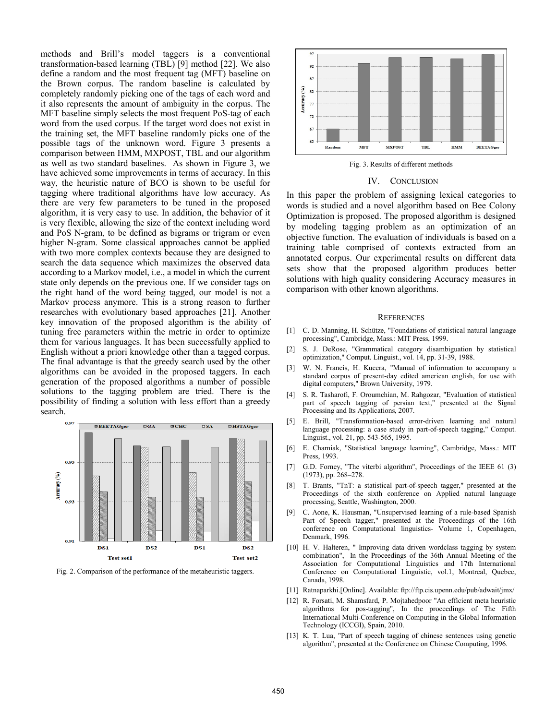methods and Brill's model taggers is a conventional transformation-based learning (TBL) [9] method [22]. We also define a random and the most frequent tag (MFT) baseline on the Brown corpus. The random baseline is calculated by completely randomly picking one of the tags of each word and it also represents the amount of ambiguity in the corpus. The MFT baseline simply selects the most frequent PoS-tag of each word from the used corpus. If the target word does not exist in the training set, the MFT baseline randomly picks one of the possible tags of the unknown word. Figure 3 presents a comparison between HMM, MXPOST, TBL and our algorithm as well as two standard baselines. As shown in Figure 3, we have achieved some improvements in terms of accuracy. In this way, the heuristic nature of BCO is shown to be useful for tagging where traditional algorithms have low accuracy. As there are very few parameters to be tuned in the proposed algorithm, it is very easy to use. In addition, the behavior of it is very flexible, allowing the size of the context including word and PoS N-gram, to be defined as bigrams or trigram or even higher N-gram. Some classical approaches cannot be applied with two more complex contexts because they are designed to search the data sequence which maximizes the observed data according to a Markov model, i.e., a model in which the current state only depends on the previous one. If we consider tags on the right hand of the word being tagged, our model is not a Markov process anymore. This is a strong reason to further researches with evolutionary based approaches [21]. Another key innovation of the proposed algorithm is the ability of tuning free parameters within the metric in order to optimize them for various languages. It has been successfully applied to English without a priori knowledge other than a tagged corpus. The final advantage is that the greedy search used by the other algorithms can be avoided in the proposed taggers. In each generation of the proposed algorithms a number of possible solutions to the tagging problem are tried. There is the possibility of finding a solution with less effort than a greedy search.



Fig. 2. Comparison of the performance of the metaheuristic taggers.



Fig. 3. Results of different methods

#### IV. CONCLUSION

In this paper the problem of assigning lexical categories to words is studied and a novel algorithm based on Bee Colony Optimization is proposed. The proposed algorithm is designed by modeling tagging problem as an optimization of an objective function. The evaluation of individuals is based on a training table comprised of contexts extracted from an annotated corpus. Our experimental results on different data sets show that the proposed algorithm produces better solutions with high quality considering Accuracy measures in comparison with other known algorithms.

#### **REFERENCES**

- [1] C. D. Manning, H. Schütze, "Foundations of statistical natural language processing", Cambridge, Mass.: MIT Press, 1999.
- [2] S. J. DeRose, "Grammatical category disambiguation by statistical optimization," Comput. Linguist., vol. 14, pp. 31-39, 1988.
- [3] W. N. Francis, H. Kucera, "Manual of information to accompany a standard corpus of present-day edited american english, for use with digital computers," Brown University, 1979.
- [4] S. R. Tasharofi, F. Oroumchian, M. Rahgozar, "Evaluation of statistical part of speech tagging of persian text," presented at the Signal Processing and Its Applications, 2007.
- [5] E. Brill, "Transformation-based error-driven learning and natural language processing: a case study in part-of-speech tagging," Comput. Linguist., vol. 21, pp. 543-565, 1995.
- [6] E. Charniak, "Statistical language learning", Cambridge, Mass.: MIT Press, 1993.
- [7] G.D. Forney, "The viterbi algorithm", Proceedings of the IEEE 61 (3) (1973), pp. 268–278.
- [8] T. Brants, "TnT: a statistical part-of-speech tagger," presented at the Proceedings of the sixth conference on Applied natural language processing, Seattle, Washington, 2000.
- [9] C. Aone, K. Hausman, "Unsupervised learning of a rule-based Spanish Part of Speech tagger," presented at the Proceedings of the 16th conference on Computational linguistics- Volume 1, Copenhagen, Denmark, 1996.
- [10] H. V. Halteren, " Improving data driven wordclass tagging by system combination", In the Proceedings of the 36th Annual Meeting of the Association for Computational Linguistics and 17th International Conference on Computational Linguistic, vol.1, Montreal, Quebec, Canada, 1998.
- [11] Ratnaparkhi.[Online]. Available: ftp://ftp.cis.upenn.edu/pub/adwait/jmx/
- [12] R. Forsati, M. Shamsfard, P. Mojtahedpoor "An efficient meta heuristic algorithms for pos-tagging", In the proceedings of The Fifth International Multi-Conference on Computing in the Global Information Technology (ICCGI), Spain, 2010.
- [13] K. T. Lua, "Part of speech tagging of chinese sentences using genetic algorithm", presented at the Conference on Chinese Computing, 1996.